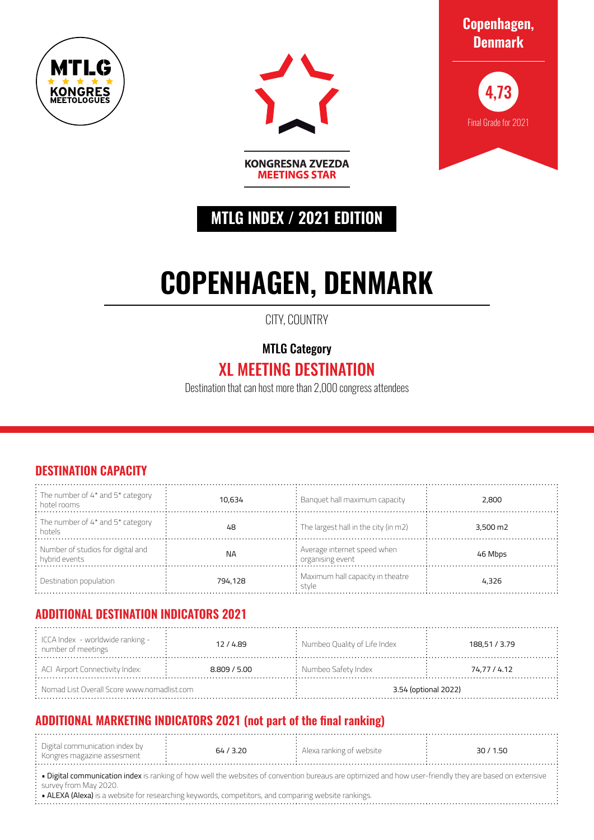



**Copenhagen, Denmark**



# **MTLG INDEX / 2021 EDITION**

**KONGRESNA ZVEZDA MEETINGS STAR** 

# **COPENHAGEN, DENMARK**

CITY, COUNTRY

MTLG Category

## XL MEETING DESTINATION

Destination that can host more than 2,000 congress attendees

#### **DESTINATION CAPACITY**

| : The number of $4^*$ and $5^*$ category<br>: hotel rooms | 10.634    | $\colon$ Banguet hall maximum capacity                         | 2,800                |
|-----------------------------------------------------------|-----------|----------------------------------------------------------------|----------------------|
| : The number of 4* and 5* category<br>: hotels            | 48        | $\frac{1}{2}$ : The largest hall in the city (in m2)           | $3,500 \,\mathrm{m}$ |
| : Number of studios for digital and<br>: hybrid events    | <b>NA</b> | : Average internet speed when<br>$\therefore$ organising event | 46 Mbps              |
| $\therefore$ Destination population                       | 794.128   | : Maximum hall capacity in theatre<br>stvle                    | 4.326                |

#### **ADDITIONAL DESTINATION INDICATORS 2021**

| $\div$ ICCA Index - worldwide ranking -<br>12/4.89<br>$:$ number of meetings |  | $\therefore$ Numbeo Quality of Life Index | 188,51 / 3.79 |  |
|------------------------------------------------------------------------------|--|-------------------------------------------|---------------|--|
| : ACI Airport Connectivity Index:<br>8.809 / 5.00                            |  | $:$ Numbeo Safety Index                   | 74,77 / 4.12  |  |
| $\therefore$ Nomad List Overall Score www.nomadlist.com                      |  | 3.54 (optional 2022)                      |               |  |

### **ADDITIONAL MARKETING INDICATORS 2021 (not part of the final ranking)**

|  | . Digital communication index by<br>: Kongres magazine assesment | 64 / 3.20 | Alexa ranking of website |  | 30/1.50 |
|--|------------------------------------------------------------------|-----------|--------------------------|--|---------|
|--|------------------------------------------------------------------|-----------|--------------------------|--|---------|

· Digital communication index is ranking of how well the websites of convention bureaus are optimized and how user-friendly they are based on extensive survey from May 2020.

• ALEXA (Alexa) is a website for researching keywords, competitors, and comparing website rankings.